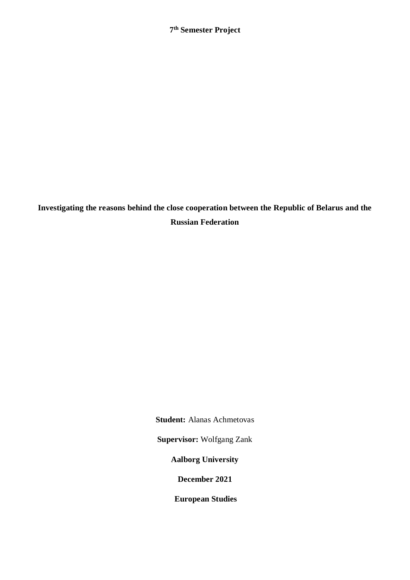**Investigating the reasons behind the close cooperation between the Republic of Belarus and the Russian Federation**

**Student:** Alanas Achmetovas

**Supervisor:** Wolfgang Zank

**Aalborg University**

**December 2021**

**European Studies**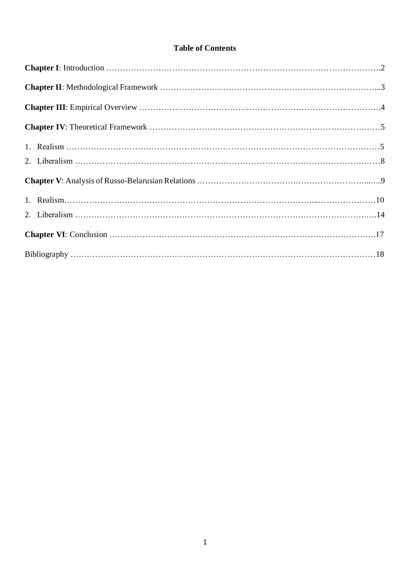## **Table of Contents**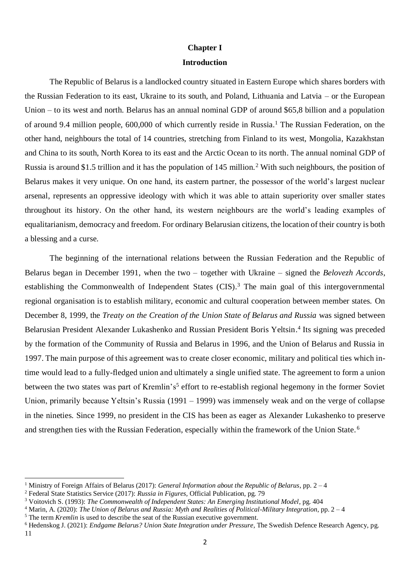## **Chapter I**

### **Introduction**

The Republic of Belarus is a landlocked country situated in Eastern Europe which shares borders with the Russian Federation to its east, Ukraine to its south, and Poland, Lithuania and Latvia – or the European Union – to its west and north. Belarus has an annual nominal GDP of around \$65,8 billion and a population of around 9.4 million people, 600,000 of which currently reside in Russia.<sup>1</sup> The Russian Federation, on the other hand, neighbours the total of 14 countries, stretching from Finland to its west, Mongolia, Kazakhstan and China to its south, North Korea to its east and the Arctic Ocean to its north. The annual nominal GDP of Russia is around \$1.5 trillion and it has the population of 145 million.<sup>2</sup> With such neighbours, the position of Belarus makes it very unique. On one hand, its eastern partner, the possessor of the world's largest nuclear arsenal, represents an oppressive ideology with which it was able to attain superiority over smaller states throughout its history. On the other hand, its western neighbours are the world's leading examples of equalitarianism, democracy and freedom. For ordinary Belarusian citizens, the location of their country is both a blessing and a curse.

The beginning of the international relations between the Russian Federation and the Republic of Belarus began in December 1991, when the two – together with Ukraine – signed the *Belovezh Accords*, establishing the Commonwealth of Independent States (CIS).<sup>3</sup> The main goal of this intergovernmental regional organisation is to establish military, economic and cultural cooperation between member states. On December 8, 1999, the *Treaty on the Creation of the Union State of Belarus and Russia* was signed between Belarusian President Alexander Lukashenko and Russian President Boris Yeltsin. 4 Its signing was preceded by the formation of the Community of Russia and Belarus in 1996, and the Union of Belarus and Russia in 1997. The main purpose of this agreement was to create closer economic, military and political ties which intime would lead to a fully-fledged union and ultimately a single unified state. The agreement to form a union between the two states was part of Kremlin's<sup>5</sup> effort to re-establish regional hegemony in the former Soviet Union, primarily because Yeltsin's Russia (1991 – 1999) was immensely weak and on the verge of collapse in the nineties. Since 1999, no president in the CIS has been as eager as Alexander Lukashenko to preserve and strengthen ties with the Russian Federation, especially within the framework of the Union State. <sup>6</sup>

<sup>1</sup> Ministry of Foreign Affairs of Belarus (2017): *General Information about the Republic of Belarus*, pp. 2 – 4

<sup>2</sup> Federal State Statistics Service (2017): *Russia in Figures,* Official Publication, pg. 79

<sup>3</sup> Voitovich S. (1993): *The Commonwealth of Independent States: An Emerging Institutional Model*, pg. 404

<sup>4</sup> Marin, A. (2020): *The Union of Belarus and Russia: Myth and Realities of Political-Military Integration*, pp. 2 – 4

<sup>&</sup>lt;sup>5</sup> The term *Kremlin* is used to describe the seat of the Russian executive government.

<sup>6</sup> Hedenskog J. (2021): *Endgame Belarus? Union State Integration under Pressure*, The Swedish Defence Research Agency, pg.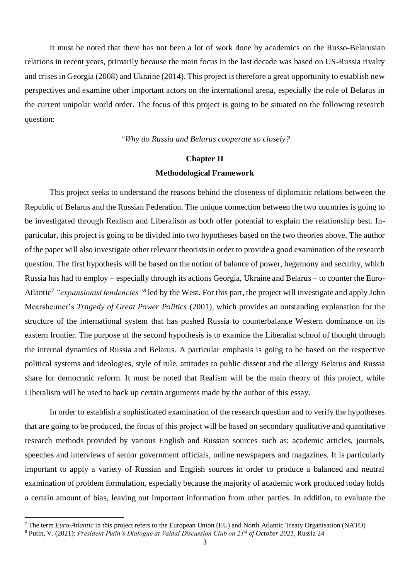It must be noted that there has not been a lot of work done by academics on the Russo-Belarusian relations in recent years, primarily because the main focus in the last decade was based on US-Russia rivalry and crises in Georgia (2008) and Ukraine (2014). This project is therefore a great opportunity to establish new perspectives and examine other important actors on the international arena, especially the role of Belarus in the current unipolar world order. The focus of this project is going to be situated on the following research question:

#### *"Why do Russia and Belarus cooperate so closely?*

# **Chapter II Methodological Framework**

This project seeks to understand the reasons behind the closeness of diplomatic relations between the Republic of Belarus and the Russian Federation. The unique connection between the two countries is going to be investigated through Realism and Liberalism as both offer potential to explain the relationship best. Inparticular, this project is going to be divided into two hypotheses based on the two theories above. The author of the paper will also investigate other relevant theorists in order to provide a good examination of the research question. The first hypothesis will be based on the notion of balance of power, hegemony and security, which Russia has had to employ – especially through its actions Georgia, Ukraine and Belarus – to counter the Euro-Atlantic<sup>7</sup> *"expansionist tendencies"<sup>8</sup>* led by the West. For this part, the project will investigate and apply John Mearsheimer's *Tragedy of Great Power Politics* (2001), which provides an outstanding explanation for the structure of the international system that has pushed Russia to counterbalance Western dominance on its eastern frontier. The purpose of the second hypothesis is to examine the Liberalist school of thought through the internal dynamics of Russia and Belarus. A particular emphasis is going to be based on the respective political systems and ideologies, style of rule, attitudes to public dissent and the allergy Belarus and Russia share for democratic reform. It must be noted that Realism will be the main theory of this project, while Liberalism will be used to back up certain arguments made by the author of this essay.

In order to establish a sophisticated examination of the research question and to verify the hypotheses that are going to be produced, the focus of this project will be based on secondary qualitative and quantitative research methods provided by various English and Russian sources such as: academic articles, journals, speeches and interviews of senior government officials, online newspapers and magazines. It is particularly important to apply a variety of Russian and English sources in order to produce a balanced and neutral examination of problem formulation, especially because the majority of academic work produced today holds a certain amount of bias, leaving out important information from other parties. In addition, to evaluate the

<sup>7</sup> The term *Euro-Atlantic* in this project refers to the European Union (EU) and North Atlantic Treaty Organisation (NATO)

<sup>8</sup> Putin, V. (2021): *President Putin's Dialogue at Valdai Discussion Club on 21st of October 2021*, Russia 24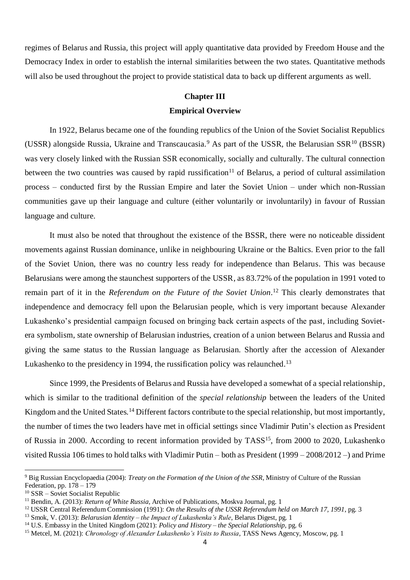regimes of Belarus and Russia, this project will apply quantitative data provided by Freedom House and the Democracy Index in order to establish the internal similarities between the two states. Quantitative methods will also be used throughout the project to provide statistical data to back up different arguments as well.

#### **Chapter III**

## **Empirical Overview**

In 1922, Belarus became one of the founding republics of the Union of the Soviet Socialist Republics (USSR) alongside Russia, Ukraine and Transcaucasia.<sup>9</sup> As part of the USSR, the Belarusian SSR<sup>10</sup> (BSSR) was very closely linked with the Russian SSR economically, socially and culturally. The cultural connection between the two countries was caused by rapid russification<sup>11</sup> of Belarus, a period of cultural assimilation process – conducted first by the Russian Empire and later the Soviet Union – under which non-Russian communities gave up their language and culture (either voluntarily or involuntarily) in favour of Russian language and culture.

It must also be noted that throughout the existence of the BSSR, there were no noticeable dissident movements against Russian dominance, unlike in neighbouring Ukraine or the Baltics. Even prior to the fall of the Soviet Union, there was no country less ready for independence than Belarus. This was because Belarusians were among the staunchest supporters of the USSR, as 83.72% of the population in 1991 voted to remain part of it in the *Referendum on the Future of the Soviet Union*. <sup>12</sup> This clearly demonstrates that independence and democracy fell upon the Belarusian people, which is very important because Alexander Lukashenko's presidential campaign focused on bringing back certain aspects of the past, including Sovietera symbolism, state ownership of Belarusian industries, creation of a union between Belarus and Russia and giving the same status to the Russian language as Belarusian. Shortly after the accession of Alexander Lukashenko to the presidency in 1994, the russification policy was relaunched.<sup>13</sup>

Since 1999, the Presidents of Belarus and Russia have developed a somewhat of a special relationship, which is similar to the traditional definition of the *special relationship* between the leaders of the United Kingdom and the United States.<sup>14</sup> Different factors contribute to the special relationship, but most importantly, the number of times the two leaders have met in official settings since Vladimir Putin's election as President of Russia in 2000. According to recent information provided by TASS<sup>15</sup>, from 2000 to 2020, Lukashenko visited Russia 106 times to hold talks with Vladimir Putin – both as President (1999 – 2008/2012 –) and Prime

<sup>-</sup><sup>9</sup> Big Russian Encyclopaedia (2004): *Treaty on the Formation of the Union of the SSR*, Ministry of Culture of the Russian Federation, pp. 178 – 179

<sup>&</sup>lt;sup>10</sup> SSR – Soviet Socialist Republic

<sup>&</sup>lt;sup>11</sup> Bendin, A. (2013): *Return of White Russia*, Archive of Publications, Moskva Journal, pg. 1

<sup>12</sup> USSR Central Referendum Commission (1991): *On the Results of the USSR Referendum held on March 17, 1991*, pg. 3

<sup>13</sup> Smok, V. (2013): *Belarusian Identity – the Impact of Lukashenka's Rule*, Belarus Digest, pg. 1

<sup>14</sup> U.S. Embassy in the United Kingdom (2021): *Policy and History – the Special Relationship,* pg. 6

<sup>15</sup> Metcel, M. (2021): *Chronology of Alexander Lukashenko's Visits to Russia*, TASS News Agency, Moscow, pg. 1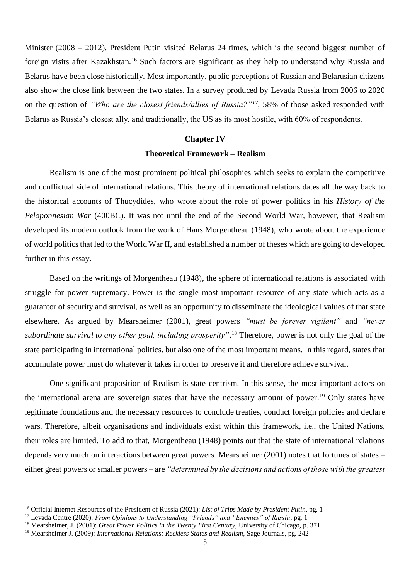Minister (2008 – 2012). President Putin visited Belarus 24 times, which is the second biggest number of foreign visits after Kazakhstan.<sup>16</sup> Such factors are significant as they help to understand why Russia and Belarus have been close historically. Most importantly, public perceptions of Russian and Belarusian citizens also show the close link between the two states. In a survey produced by Levada Russia from 2006 to 2020 on the question of *"Who are the closest friends/allies of Russia?"<sup>17</sup>*, 58% of those asked responded with Belarus as Russia's closest ally, and traditionally, the US as its most hostile, with 60% of respondents.

#### **Chapter IV**

#### **Theoretical Framework – Realism**

Realism is one of the most prominent political philosophies which seeks to explain the competitive and conflictual side of international relations. This theory of international relations dates all the way back to the historical accounts of Thucydides, who wrote about the role of power politics in his *History of the Peloponnesian War* (400BC). It was not until the end of the Second World War, however, that Realism developed its modern outlook from the work of Hans Morgentheau (1948), who wrote about the experience of world politics that led to the World War II, and established a number of theses which are going to developed further in this essay.

Based on the writings of Morgentheau (1948), the sphere of international relations is associated with struggle for power supremacy. Power is the single most important resource of any state which acts as a guarantor of security and survival, as well as an opportunity to disseminate the ideological values of that state elsewhere. As argued by Mearsheimer (2001), great powers *"must be forever vigilant"* and *"never subordinate survival to any other goal, including prosperity"*. <sup>18</sup> Therefore, power is not only the goal of the state participating in international politics, but also one of the most important means. In this regard, states that accumulate power must do whatever it takes in order to preserve it and therefore achieve survival.

One significant proposition of Realism is state-centrism. In this sense, the most important actors on the international arena are sovereign states that have the necessary amount of power. <sup>19</sup> Only states have legitimate foundations and the necessary resources to conclude treaties, conduct foreign policies and declare wars. Therefore, albeit organisations and individuals exist within this framework, i.e., the United Nations, their roles are limited. To add to that, Morgentheau (1948) points out that the state of international relations depends very much on interactions between great powers. Mearsheimer (2001) notes that fortunes of states – either great powers or smaller powers – are *"determined by the decisions and actions of those with the greatest* 

<sup>16</sup> Official Internet Resources of the President of Russia (2021): *List of Trips Made by President Putin*, pg. 1

<sup>17</sup> Levada Centre (2020): *From Opinions to Understanding "Friends" and "Enemies" of Russia*, pg. 1

<sup>18</sup> Mearsheimer, J. (2001): *Great Power Politics in the Twenty First Century*, University of Chicago, p. 371

<sup>19</sup> Mearsheimer J. (2009): *International Relations: Reckless States and Realism,* Sage Journals, pg. 242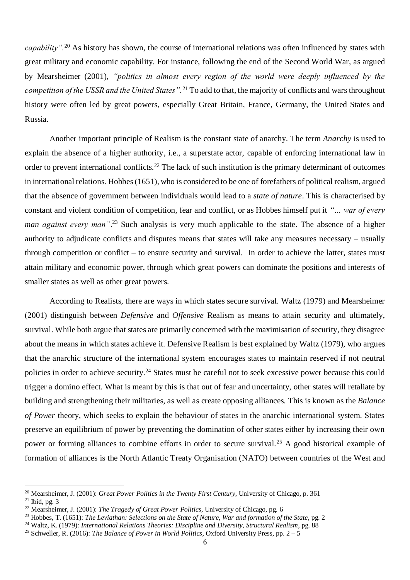*capability".*<sup>20</sup> As history has shown, the course of international relations was often influenced by states with great military and economic capability. For instance, following the end of the Second World War, as argued by Mearsheimer (2001), *"politics in almost every region of the world were deeply influenced by the competition of the USSR and the United States".*<sup>21</sup> To add to that, the majority of conflicts and wars throughout history were often led by great powers, especially Great Britain, France, Germany, the United States and Russia.

Another important principle of Realism is the constant state of anarchy. The term *Anarchy* is used to explain the absence of a higher authority, i.e., a superstate actor, capable of enforcing international law in order to prevent international conflicts.<sup>22</sup> The lack of such institution is the primary determinant of outcomes in international relations. Hobbes (1651), who is considered to be one of forefathers of political realism, argued that the absence of government between individuals would lead to a *state of nature*. This is characterised by constant and violent condition of competition, fear and conflict, or as Hobbes himself put it *"… war of every man against every man"*. <sup>23</sup> Such analysis is very much applicable to the state. The absence of a higher authority to adjudicate conflicts and disputes means that states will take any measures necessary – usually through competition or conflict – to ensure security and survival. In order to achieve the latter, states must attain military and economic power, through which great powers can dominate the positions and interests of smaller states as well as other great powers.

According to Realists, there are ways in which states secure survival. Waltz (1979) and Mearsheimer (2001) distinguish between *Defensive* and *Offensive* Realism as means to attain security and ultimately, survival. While both argue that states are primarily concerned with the maximisation of security, they disagree about the means in which states achieve it. Defensive Realism is best explained by Waltz (1979), who argues that the anarchic structure of the international system encourages states to maintain reserved if not neutral policies in order to achieve security.<sup>24</sup> States must be careful not to seek excessive power because this could trigger a domino effect. What is meant by this is that out of fear and uncertainty, other states will retaliate by building and strengthening their militaries, as well as create opposing alliances. This is known as the *Balance of Power* theory, which seeks to explain the behaviour of states in the anarchic international system. States preserve an equilibrium of power by preventing the domination of other states either by increasing their own power or forming alliances to combine efforts in order to secure survival.<sup>25</sup> A good historical example of formation of alliances is the North Atlantic Treaty Organisation (NATO) between countries of the West and

<sup>20</sup> Mearsheimer, J. (2001): *Great Power Politics in the Twenty First Century*, University of Chicago, p. 361  $21$  Ibid, pg. 3

<sup>22</sup> Mearsheimer, J. (2001): *The Tragedy of Great Power Politics*, University of Chicago, pg. 6

<sup>23</sup> Hobbes, T. (1651): *The Leviathan: Selections on the State of Nature, War and formation of the State*, pg. 2

<sup>24</sup> Waltz, K. (1979): *International Relations Theories: Discipline and Diversity, Structural Realism*, pg. 88

<sup>25</sup> Schweller, R. (2016): *The Balance of Power in World Politics*, Oxford University Press, pp. 2 – 5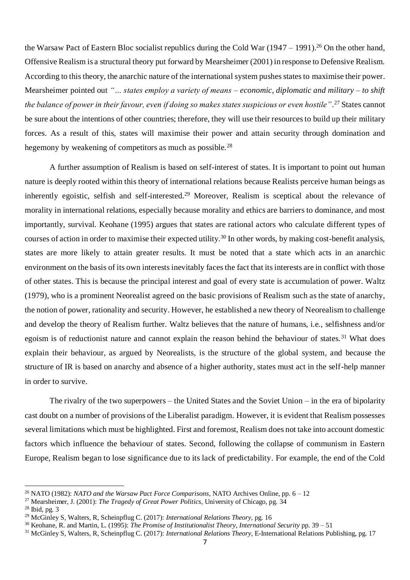the Warsaw Pact of Eastern Bloc socialist republics during the Cold War  $(1947 - 1991)$ .<sup>26</sup> On the other hand, Offensive Realism is a structural theory put forward by Mearsheimer (2001) in response to Defensive Realism. According to this theory, the anarchic nature of the international system pushes states to maximise their power. Mearsheimer pointed out "... *states employ a variety of means – economic, diplomatic and military – to shift the balance of power in their favour, even if doing so makes states suspicious or even hostile"*. <sup>27</sup> States cannot be sure about the intentions of other countries; therefore, they will use their resources to build up their military forces. As a result of this, states will maximise their power and attain security through domination and hegemony by weakening of competitors as much as possible.<sup>28</sup>

A further assumption of Realism is based on self-interest of states. It is important to point out human nature is deeply rooted within this theory of international relations because Realists perceive human beings as inherently egoistic, selfish and self-interested.<sup>29</sup> Moreover, Realism is sceptical about the relevance of morality in international relations, especially because morality and ethics are barriers to dominance, and most importantly, survival. Keohane (1995) argues that states are rational actors who calculate different types of courses of action in order to maximise their expected utility.<sup>30</sup> In other words, by making cost-benefit analysis, states are more likely to attain greater results. It must be noted that a state which acts in an anarchic environment on the basis of its own interests inevitably faces the fact that its interests are in conflict with those of other states. This is because the principal interest and goal of every state is accumulation of power. Waltz (1979), who is a prominent Neorealist agreed on the basic provisions of Realism such as the state of anarchy, the notion of power, rationality and security. However, he established a new theory of Neorealism to challenge and develop the theory of Realism further. Waltz believes that the nature of humans, i.e., selfishness and/or egoism is of reductionist nature and cannot explain the reason behind the behaviour of states. <sup>31</sup> What does explain their behaviour, as argued by Neorealists, is the structure of the global system, and because the structure of IR is based on anarchy and absence of a higher authority, states must act in the self-help manner in order to survive.

The rivalry of the two superpowers – the United States and the Soviet Union – in the era of bipolarity cast doubt on a number of provisions of the Liberalist paradigm. However, it is evident that Realism possesses several limitations which must be highlighted. First and foremost, Realism does not take into account domestic factors which influence the behaviour of states. Second, following the collapse of communism in Eastern Europe, Realism began to lose significance due to its lack of predictability. For example, the end of the Cold

<sup>26</sup> NATO (1982): *NATO and the Warsaw Pact Force Comparisons*, NATO Archives Online, pp. 6 – 12

<sup>27</sup> Mearsheimer, J. (2001): *The Tragedy of Great Power Politics,* University of Chicago, pg. 34

<sup>28</sup> Ibid, pg. 3

<sup>29</sup> McGinley S, Walters, R, Scheinpflug C. (2017): *International Relations Theory,* pg. 16

<sup>30</sup> Keohane, R. and Martin, L. (1995): *The Promise of Institutionalist Theory*, *International Security* pp. 39 – 51

<sup>31</sup> McGinley S, Walters, R, Scheinpflug C. (2017): *International Relations Theory,* E-International Relations Publishing, pg. 17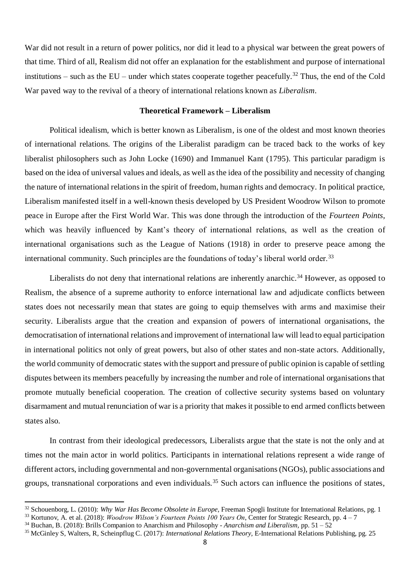War did not result in a return of power politics, nor did it lead to a physical war between the great powers of that time. Third of all, Realism did not offer an explanation for the establishment and purpose of international institutions – such as the  $EU$  – under which states cooperate together peacefully.<sup>32</sup> Thus, the end of the Cold War paved way to the revival of a theory of international relations known as *Liberalism*.

## **Theoretical Framework – Liberalism**

Political idealism, which is better known as Liberalism, is one of the oldest and most known theories of international relations. The origins of the Liberalist paradigm can be traced back to the works of key liberalist philosophers such as John Locke (1690) and Immanuel Kant (1795). This particular paradigm is based on the idea of universal values and ideals, as well asthe idea of the possibility and necessity of changing the nature of international relations in the spirit of freedom, human rights and democracy. In political practice, Liberalism manifested itself in a well-known thesis developed by US President Woodrow Wilson to promote peace in Europe after the First World War. This was done through the introduction of the *Fourteen Points*, which was heavily influenced by Kant's theory of international relations, as well as the creation of international organisations such as the League of Nations (1918) in order to preserve peace among the international community. Such principles are the foundations of today's liberal world order.<sup>33</sup>

Liberalists do not deny that international relations are inherently anarchic.<sup>34</sup> However, as opposed to Realism, the absence of a supreme authority to enforce international law and adjudicate conflicts between states does not necessarily mean that states are going to equip themselves with arms and maximise their security. Liberalists argue that the creation and expansion of powers of international organisations, the democratisation of international relations and improvement of international law will lead to equal participation in international politics not only of great powers, but also of other states and non-state actors. Additionally, the world community of democratic states with the support and pressure of public opinion is capable of settling disputes between its members peacefully by increasing the number and role of international organisations that promote mutually beneficial cooperation. The creation of collective security systems based on voluntary disarmament and mutual renunciation of war is a priority that makes it possible to end armed conflicts between states also.

In contrast from their ideological predecessors, Liberalists argue that the state is not the only and at times not the main actor in world politics. Participants in international relations represent a wide range of different actors, including governmental and non-governmental organisations (NGOs), public associations and groups, transnational corporations and even individuals.<sup>35</sup> Such actors can influence the positions of states,

<sup>32</sup> Schouenborg, L. (2010): *Why War Has Become Obsolete in Europe*, Freeman Spogli Institute for International Relations, pg. 1

<sup>33</sup> Kortunov, A. et al. (2018): *Woodrow Wilson's Fourteen Points 100 Years On*, Center for Strategic Research, pp. 4 – 7

<sup>34</sup> Buchan, B. (2018): Brills Companion to Anarchism and Philosophy - *Anarchism and Liberalism,* pp. 51 – 52

<sup>35</sup> McGinley S, Walters, R, Scheinpflug C. (2017): *International Relations Theory,* E-International Relations Publishing, pg. 25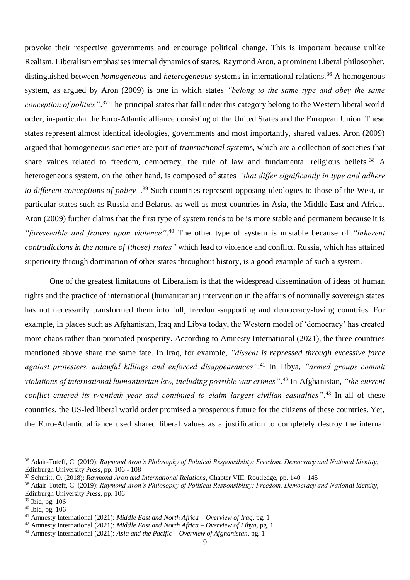provoke their respective governments and encourage political change. This is important because unlike Realism, Liberalism emphasises internal dynamics of states. Raymond Aron, a prominent Liberal philosopher, distinguished between *homogeneous* and *heterogeneous* systems in international relations.<sup>36</sup> A homogenous system, as argued by Aron (2009) is one in which states *"belong to the same type and obey the same conception of politics"*. <sup>37</sup> The principal states that fall under this category belong to the Western liberal world order, in-particular the Euro-Atlantic alliance consisting of the United States and the European Union. These states represent almost identical ideologies, governments and most importantly, shared values. Aron (2009) argued that homogeneous societies are part of *transnational* systems, which are a collection of societies that share values related to freedom, democracy, the rule of law and fundamental religious beliefs.<sup>38</sup> A heterogeneous system, on the other hand, is composed of states *"that differ significantly in type and adhere to different conceptions of policy"*. <sup>39</sup> Such countries represent opposing ideologies to those of the West, in particular states such as Russia and Belarus, as well as most countries in Asia, the Middle East and Africa. Aron (2009) further claims that the first type of system tends to be is more stable and permanent because it is *"foreseeable and frowns upon violence"*. <sup>40</sup> The other type of system is unstable because of *"inherent contradictions in the nature of [those] states"* which lead to violence and conflict. Russia, which has attained superiority through domination of other states throughout history, is a good example of such a system.

One of the greatest limitations of Liberalism is that the widespread dissemination of ideas of human rights and the practice of international (humanitarian) intervention in the affairs of nominally sovereign states has not necessarily transformed them into full, freedom-supporting and democracy-loving countries. For example, in places such as Afghanistan, Iraq and Libya today, the Western model of 'democracy' has created more chaos rather than promoted prosperity. According to Amnesty International (2021), the three countries mentioned above share the same fate. In Iraq, for example, *"dissent is repressed through excessive force against protesters, unlawful killings and enforced disappearances"*. <sup>41</sup> In Libya, *"armed groups commit violations of international humanitarian law, including possible war crimes"*. <sup>42</sup> In Afghanistan, *"the current conflict entered its twentieth year and continued to claim largest civilian casualties"*. <sup>43</sup> In all of these countries, the US-led liberal world order promised a prosperous future for the citizens of these countries. Yet, the Euro-Atlantic alliance used shared liberal values as a justification to completely destroy the internal

<sup>36</sup> Adair-Toteff, C. (2019): *Raymond Aron's Philosophy of Political Responsibility: Freedom, Democracy and National Identity*, Edinburgh University Press, pp. 106 - 108

<sup>37</sup> Schmitt, O. (2018): *Raymond Aron and International Relations*, Chapter VIII, Routledge, pp. 140 – 145

<sup>38</sup> Adair-Toteff, C. (2019): *Raymond Aron's Philosophy of Political Responsibility: Freedom, Democracy and National Identity*, Edinburgh University Press, pp. 106

<sup>39</sup> Ibid, pg. 106

<sup>40</sup> Ibid, pg. 106

<sup>41</sup> Amnesty International (2021): *Middle East and North Africa – Overview of Iraq*, pg. 1

<sup>42</sup> Amnesty International (2021): *Middle East and North Africa – Overview of Libya,* pg. 1

<sup>43</sup> Amnesty International (2021): *Asia and the Pacific – Overview of Afghanistan*, pg. 1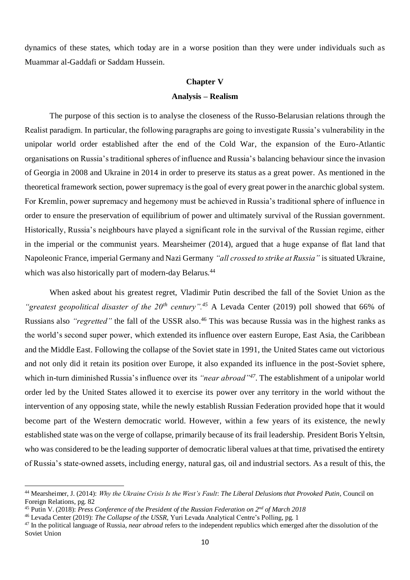dynamics of these states, which today are in a worse position than they were under individuals such as Muammar al-Gaddafi or Saddam Hussein.

# **Chapter V**

## **Analysis – Realism**

The purpose of this section is to analyse the closeness of the Russo-Belarusian relations through the Realist paradigm. In particular, the following paragraphs are going to investigate Russia's vulnerability in the unipolar world order established after the end of the Cold War, the expansion of the Euro-Atlantic organisations on Russia's traditional spheres of influence and Russia's balancing behaviour since the invasion of Georgia in 2008 and Ukraine in 2014 in order to preserve its status as a great power. As mentioned in the theoretical framework section, power supremacy is the goal of every great power in the anarchic global system. For Kremlin, power supremacy and hegemony must be achieved in Russia's traditional sphere of influence in order to ensure the preservation of equilibrium of power and ultimately survival of the Russian government. Historically, Russia's neighbours have played a significant role in the survival of the Russian regime, either in the imperial or the communist years. Mearsheimer (2014), argued that a huge expanse of flat land that Napoleonic France, imperial Germany and Nazi Germany *"all crossed to strike at Russia"* is situated Ukraine, which was also historically part of modern-day Belarus.<sup>44</sup>

When asked about his greatest regret, Vladimir Putin described the fall of the Soviet Union as the *"greatest geopolitical disaster of the 20th century".<sup>45</sup>* A Levada Center (2019) poll showed that 66% of Russians also *"regretted"* the fall of the USSR also. <sup>46</sup> This was because Russia was in the highest ranks as the world's second super power, which extended its influence over eastern Europe, East Asia, the Caribbean and the Middle East. Following the collapse of the Soviet state in 1991, the United States came out victorious and not only did it retain its position over Europe, it also expanded its influence in the post-Soviet sphere, which in-turn diminished Russia's influence over its *"near abroad"<sup>47</sup>* . The establishment of a unipolar world order led by the United States allowed it to exercise its power over any territory in the world without the intervention of any opposing state, while the newly establish Russian Federation provided hope that it would become part of the Western democratic world. However, within a few years of its existence, the newly established state was on the verge of collapse, primarily because of its frail leadership. President Boris Yeltsin, who was considered to be the leading supporter of democratic liberal values at that time, privatised the entirety of Russia's state-owned assets, including energy, natural gas, oil and industrial sectors. As a result of this, the

<sup>44</sup> Mearsheimer, J. (2014): *Why the Ukraine Crisis Is the West's Fault*: *The Liberal Delusions that Provoked Putin*, Council on Foreign Relations, pg. 82

<sup>45</sup> Putin V. (2018): *Press Conference of the President of the Russian Federation on 2nd of March 2018*

<sup>46</sup> Levada Center (2019): *The Collapse of the USSR,* Yuri Levada Analytical Centre's Polling, pg. 1

<sup>47</sup> In the political language of Russia, *near abroad* refers to the independent republics which emerged after the dissolution of the Soviet Union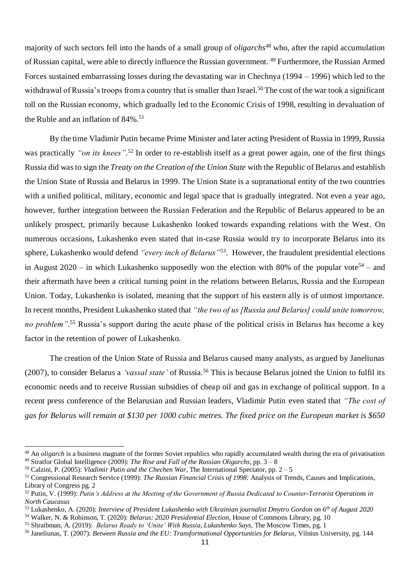majority of such sectors fell into the hands of a small group of *oligarchs<sup>48</sup>* who, after the rapid accumulation of Russian capital, were able to directly influence the Russian government. <sup>49</sup> Furthermore, the Russian Armed Forces sustained embarrassing losses during the devastating war in Chechnya (1994 – 1996) which led to the withdrawal of Russia's troops from a country that is smaller than Israel.<sup>50</sup> The cost of the war took a significant toll on the Russian economy, which gradually led to the Economic Crisis of 1998, resulting in devaluation of the Ruble and an inflation of  $84\%$ .<sup>51</sup>

By the time Vladimir Putin became Prime Minister and later acting President of Russia in 1999, Russia was practically *"on its knees"*. <sup>52</sup> In order to re-establish itself as a great power again, one of the first things Russia did was to sign the *Treaty on the Creation of the Union State* with the Republic of Belarus and establish the Union State of Russia and Belarus in 1999. The Union State is a supranational entity of the two countries with a unified political, military, economic and legal space that is gradually integrated. Not even a year ago, however, further integration between the Russian Federation and the Republic of Belarus appeared to be an unlikely prospect, primarily because Lukashenko looked towards expanding relations with the West. On numerous occasions, Lukashenko even stated that in-case Russia would try to incorporate Belarus into its sphere, Lukashenko would defend *"every inch of Belarus"*<sup>53</sup> . However, the fraudulent presidential elections in August 2020 – in which Lukashenko supposedly won the election with 80% of the popular vote<sup>54</sup> – and their aftermath have been a critical turning point in the relations between Belarus, Russia and the European Union. Today, Lukashenko is isolated, meaning that the support of his eastern ally is of utmost importance. In recent months, President Lukashenko stated that *"the two of us [Russia and Belarus] could unite tomorrow, no problem"*. <sup>55</sup> Russia's support during the acute phase of the political crisis in Belarus has become a key factor in the retention of power of Lukashenko.

The creation of the Union State of Russia and Belarus caused many analysts, as argued by Janeliunas (2007), to consider Belarus a *'vassal state'* of Russia.<sup>56</sup> This is because Belarus joined the Union to fulfil its economic needs and to receive Russian subsidies of cheap oil and gas in exchange of political support. In a recent press conference of the Belarusian and Russian leaders, Vladimir Putin even stated that *"The cost of gas for Belarus will remain at \$130 per 1000 cubic metres. The fixed price on the European market is \$650* 

<sup>&</sup>lt;sup>48</sup> An *oligarch* is a business magnate of the former Soviet republics who rapidly accumulated wealth during the era of privatisation <sup>49</sup> Stratfor Global Intelligence (2009): *The Rise and Fall of the Russian Oligarchs*, pp. 3 – 8

<sup>50</sup> Calzini, P. (2005): *Vladimir Putin and the Chechen War*, The International Spectator, pp. 2 – 5

<sup>51</sup> Congressional Research Service (1999): *The Russian Financial Crisis of 1998:* Analysis of Trends, Causes and Implications, Library of Congress pg. 2

<sup>52</sup> Putin, V. (1999): *Putin's Address at the Meeting of the Government of Russia Dedicated to Counter-Terrorist Operations in North Caucasus* 

<sup>53</sup> Lukashenko, A. (2020): *Interview of President Lukashenko with Ukrainian journalist Dmytro Gordon on 6th of August 2020* <sup>54</sup> Walker, N. & Robinson, T. (2020): *Belarus: 2020 Presidential Election*, House of Commons Library, pg. 10

<sup>55</sup> Shraibman, A. (2019): *Belarus Ready to 'Unite' With Russia, Lukashenko Says,* The Moscow Times, pg. 1

<sup>56</sup> Janeliunas, T. (2007): *Between Russia and the EU: Transformational Opportunities for Belarus*, Vilnius University, pg. 144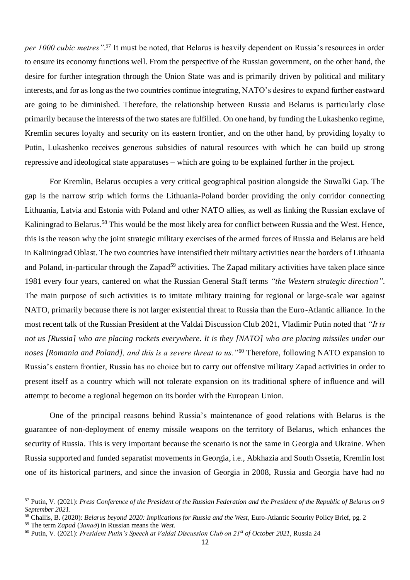*per 1000 cubic metres"*. <sup>57</sup> It must be noted, that Belarus is heavily dependent on Russia's resources in order to ensure its economy functions well. From the perspective of the Russian government, on the other hand, the desire for further integration through the Union State was and is primarily driven by political and military interests, and for as long as the two countries continue integrating, NATO's desires to expand further eastward are going to be diminished. Therefore, the relationship between Russia and Belarus is particularly close primarily because the interests of the two states are fulfilled. On one hand, by funding the Lukashenko regime, Kremlin secures loyalty and security on its eastern frontier, and on the other hand, by providing loyalty to Putin, Lukashenko receives generous subsidies of natural resources with which he can build up strong repressive and ideological state apparatuses – which are going to be explained further in the project.

For Kremlin, Belarus occupies a very critical geographical position alongside the Suwalki Gap. The gap is the narrow strip which forms the Lithuania-Poland border providing the only corridor connecting Lithuania, Latvia and Estonia with Poland and other NATO allies, as well as linking the Russian exclave of Kaliningrad to Belarus.<sup>58</sup> This would be the most likely area for conflict between Russia and the West. Hence, this is the reason why the joint strategic military exercises of the armed forces of Russia and Belarus are held in Kaliningrad Oblast. The two countries have intensified their military activities near the borders of Lithuania and Poland, in-particular through the Zapad<sup>59</sup> activities. The Zapad military activities have taken place since 1981 every four years, cantered on what the Russian General Staff terms *"the Western strategic direction"*. The main purpose of such activities is to imitate military training for regional or large-scale war against NATO, primarily because there is not larger existential threat to Russia than the Euro-Atlantic alliance. In the most recent talk of the Russian President at the Valdai Discussion Club 2021, Vladimir Putin noted that *"It is not us [Russia] who are placing rockets everywhere. It is they [NATO] who are placing missiles under our noses [Romania and Poland], and this is a severe threat to us."*<sup>60</sup> Therefore, following NATO expansion to Russia's eastern frontier, Russia has no choice but to carry out offensive military Zapad activities in order to present itself as a country which will not tolerate expansion on its traditional sphere of influence and will attempt to become a regional hegemon on its border with the European Union.

One of the principal reasons behind Russia's maintenance of good relations with Belarus is the guarantee of non-deployment of enemy missile weapons on the territory of Belarus, which enhances the security of Russia. This is very important because the scenario is not the same in Georgia and Ukraine. When Russia supported and funded separatist movements in Georgia, i.e., Abkhazia and South Ossetia, Kremlin lost one of its historical partners, and since the invasion of Georgia in 2008, Russia and Georgia have had no

<sup>57</sup> Putin, V. (2021): *Press Conference of the President of the Russian Federation and the President of the Republic of Belarus on 9 September 2021.*

<sup>58</sup> Challis, B. (2020): *Belarus beyond 2020: Implications for Russia and the West*, Euro-Atlantic Security Policy Brief, pg. 2 <sup>59</sup> The term *Zapad* (*Запад*) in Russian means the *West*.

<sup>60</sup> Putin, V. (2021): *President Putin's Speech at Valdai Discussion Club on 21st of October 2021*, Russia 24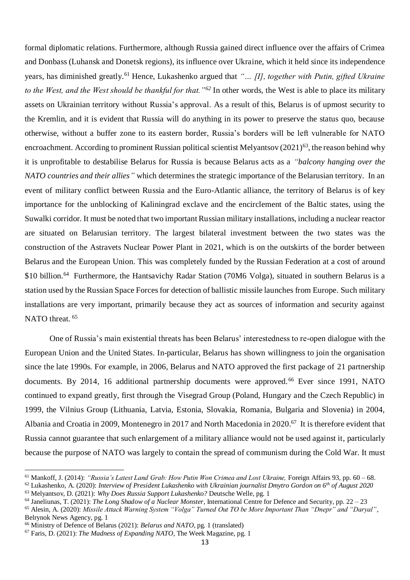formal diplomatic relations. Furthermore, although Russia gained direct influence over the affairs of Crimea and Donbass (Luhansk and Donetsk regions), its influence over Ukraine, which it held since its independence years, has diminished greatly.<sup>61</sup> Hence, Lukashenko argued that *"… [I], together with Putin, gifted Ukraine to the West, and the West should be thankful for that."<sup>62</sup>* In other words, the West is able to place its military assets on Ukrainian territory without Russia's approval. As a result of this, Belarus is of upmost security to the Kremlin, and it is evident that Russia will do anything in its power to preserve the status quo, because otherwise, without a buffer zone to its eastern border, Russia's borders will be left vulnerable for NATO encroachment. According to prominent Russian political scientist Melyantsov (2021)<sup>63</sup>, the reason behind why it is unprofitable to destabilise Belarus for Russia is because Belarus acts as a *"balcony hanging over the NATO countries and their allies"* which determines the strategic importance of the Belarusian territory. In an event of military conflict between Russia and the Euro-Atlantic alliance, the territory of Belarus is of key importance for the unblocking of Kaliningrad exclave and the encirclement of the Baltic states, using the Suwalki corridor. It must be noted that two important Russian military installations, including a nuclear reactor are situated on Belarusian territory. The largest bilateral investment between the two states was the construction of the Astravets Nuclear Power Plant in 2021, which is on the outskirts of the border between Belarus and the European Union. This was completely funded by the Russian Federation at a cost of around \$10 billion.<sup>64</sup> Furthermore, the Hantsavichy Radar Station (70M6 Volga), situated in southern Belarus is a station used by the Russian Space Forces for detection of ballistic missile launches from Europe. Such military installations are very important, primarily because they act as sources of information and security against NATO threat.<sup>65</sup>

One of Russia's main existential threats has been Belarus' interestedness to re-open dialogue with the European Union and the United States. In-particular, Belarus has shown willingness to join the organisation since the late 1990s. For example, in 2006, Belarus and NATO approved the first package of 21 partnership documents. By 2014, 16 additional partnership documents were approved.<sup>66</sup> Ever since 1991, NATO continued to expand greatly, first through the Visegrad Group (Poland, Hungary and the Czech Republic) in 1999, the Vilnius Group (Lithuania, Latvia, Estonia, Slovakia, Romania, Bulgaria and Slovenia) in 2004, Albania and Croatia in 2009, Montenegro in 2017 and North Macedonia in 2020.<sup>67</sup> It is therefore evident that Russia cannot guarantee that such enlargement of a military alliance would not be used against it, particularly because the purpose of NATO was largely to contain the spread of communism during the Cold War. It must

<sup>61</sup> Mankoff, J. (2014): *"Russia's Latest Land Grab: How Putin Won Crimea and Lost Ukraine,* Foreign Affairs 93, pp. 60 – 68.

<sup>62</sup> Lukashenko, A. (2020): *Interview of President Lukashenko with Ukrainian journalist Dmytro Gordon on 6th of August 2020* <sup>63</sup> Melyantsov, D. (2021): *Why Does Russia Support Lukashenko?* Deutsche Welle, pg. 1

<sup>64</sup> Janeliunas, T. (2021): *The Long Shadow of a Nuclear Monster*, International Centre for Defence and Security, pp. 22 – 23 <sup>65</sup> Alesin, A. (2020): *Missile Attack Warning System "Volga" Turned Out TO be More Important Than "Dnepr" and "Daryal"*,

Belrynok News Agency, pg. 1

<sup>66</sup> Ministry of Defence of Belarus (2021): *Belarus and NATO*, pg. 1 (translated)

<sup>67</sup> Faris, D. (2021): *The Madness of Expanding NATO*, The Week Magazine, pg. 1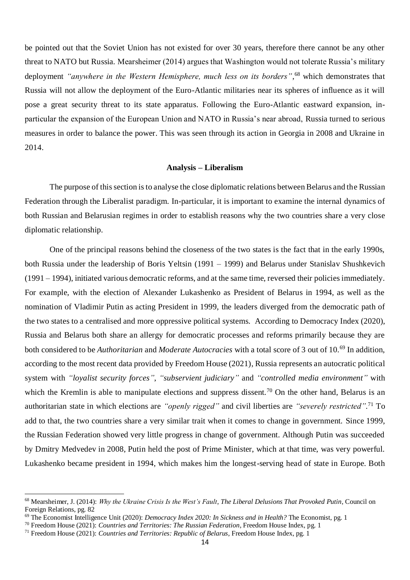be pointed out that the Soviet Union has not existed for over 30 years, therefore there cannot be any other threat to NATO but Russia. Mearsheimer (2014) argues that Washington would not tolerate Russia's military deployment *"anywhere in the Western Hemisphere, much less on its borders"*, <sup>68</sup> which demonstrates that Russia will not allow the deployment of the Euro-Atlantic militaries near its spheres of influence as it will pose a great security threat to its state apparatus. Following the Euro-Atlantic eastward expansion, inparticular the expansion of the European Union and NATO in Russia's near abroad, Russia turned to serious measures in order to balance the power. This was seen through its action in Georgia in 2008 and Ukraine in 2014.

## **Analysis – Liberalism**

The purpose of this section is to analyse the close diplomatic relations between Belarus and the Russian Federation through the Liberalist paradigm. In-particular, it is important to examine the internal dynamics of both Russian and Belarusian regimes in order to establish reasons why the two countries share a very close diplomatic relationship.

One of the principal reasons behind the closeness of the two states is the fact that in the early 1990s, both Russia under the leadership of Boris Yeltsin (1991 – 1999) and Belarus under Stanislav Shushkevich (1991 – 1994), initiated various democratic reforms, and at the same time, reversed their policies immediately. For example, with the election of Alexander Lukashenko as President of Belarus in 1994, as well as the nomination of Vladimir Putin as acting President in 1999, the leaders diverged from the democratic path of the two states to a centralised and more oppressive political systems. According to Democracy Index (2020), Russia and Belarus both share an allergy for democratic processes and reforms primarily because they are both considered to be *Authoritarian* and *Moderate Autocracies* with a total score of 3 out of 10.<sup>69</sup> In addition, according to the most recent data provided by Freedom House (2021), Russia represents an autocratic political system with *"loyalist security forces"*, *"subservient judiciary"* and *"controlled media environment"* with which the Kremlin is able to manipulate elections and suppress dissent.<sup>70</sup> On the other hand, Belarus is an authoritarian state in which elections are *"openly rigged"* and civil liberties are *"severely restricted"*. <sup>71</sup> To add to that, the two countries share a very similar trait when it comes to change in government. Since 1999, the Russian Federation showed very little progress in change of government. Although Putin was succeeded by Dmitry Medvedev in 2008, Putin held the post of Prime Minister, which at that time, was very powerful. Lukashenko became president in 1994, which makes him the longest-serving head of state in Europe. Both

<sup>68</sup> Mearsheimer, J. (2014): *Why the Ukraine Crisis Is the West's Fault*, *The Liberal Delusions That Provoked Putin*, Council on Foreign Relations, pg. 82

<sup>69</sup> The Economist Intelligence Unit (2020): *Democracy Index 2020: In Sickness and in Health?* The Economist, pg. 1

<sup>70</sup> Freedom House (2021): *Countries and Territories: The Russian Federation*, Freedom House Index, pg. 1

<sup>71</sup> Freedom House (2021): *Countries and Territories: Republic of Belarus*, Freedom House Index, pg. 1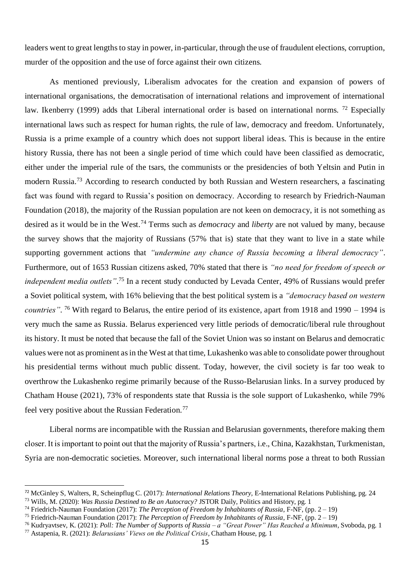leaders went to great lengths to stay in power, in-particular, through the use of fraudulent elections, corruption, murder of the opposition and the use of force against their own citizens.

As mentioned previously, Liberalism advocates for the creation and expansion of powers of international organisations, the democratisation of international relations and improvement of international law. Ikenberry (1999) adds that Liberal international order is based on international norms. <sup>72</sup> Especially international laws such as respect for human rights, the rule of law, democracy and freedom. Unfortunately, Russia is a prime example of a country which does not support liberal ideas. This is because in the entire history Russia, there has not been a single period of time which could have been classified as democratic, either under the imperial rule of the tsars, the communists or the presidencies of both Yeltsin and Putin in modern Russia.<sup>73</sup> According to research conducted by both Russian and Western researchers, a fascinating fact was found with regard to Russia's position on democracy. According to research by Friedrich-Nauman Foundation (2018), the majority of the Russian population are not keen on democracy, it is not something as desired as it would be in the West.<sup>74</sup> Terms such as *democracy* and *liberty* are not valued by many, because the survey shows that the majority of Russians (57% that is) state that they want to live in a state while supporting government actions that *"undermine any chance of Russia becoming a liberal democracy"*. Furthermore, out of 1653 Russian citizens asked, 70% stated that there is *"no need for freedom of speech or independent media outlets"*. <sup>75</sup> In a recent study conducted by Levada Center, 49% of Russians would prefer a Soviet political system, with 16% believing that the best political system is a *"democracy based on western countries"*. <sup>76</sup> With regard to Belarus, the entire period of its existence, apart from 1918 and 1990 – 1994 is very much the same as Russia. Belarus experienced very little periods of democratic/liberal rule throughout its history. It must be noted that because the fall of the Soviet Union was so instant on Belarus and democratic values were not as prominent as in the West at that time, Lukashenko was able to consolidate power throughout his presidential terms without much public dissent. Today, however, the civil society is far too weak to overthrow the Lukashenko regime primarily because of the Russo-Belarusian links. In a survey produced by Chatham House (2021), 73% of respondents state that Russia is the sole support of Lukashenko, while 79% feel very positive about the Russian Federation.<sup>77</sup>

Liberal norms are incompatible with the Russian and Belarusian governments, therefore making them closer. It is important to point out that the majority of Russia's partners, i.e., China, Kazakhstan, Turkmenistan, Syria are non-democratic societies. Moreover, such international liberal norms pose a threat to both Russian

<sup>72</sup> McGinley S, Walters, R, Scheinpflug C. (2017): *International Relations Theory,* E-International Relations Publishing, pg. 24

<sup>73</sup> Wills, M. (2020): *Was Russia Destined to Be an Autocracy?* JSTOR Daily, Politics and History, pg. 1

<sup>74</sup> Friedrich-Nauman Foundation (2017): *The Perception of Freedom by Inhabitants of Russia*, F-NF, (pp. 2 – 19)

<sup>75</sup> Friedrich-Nauman Foundation (2017): *The Perception of Freedom by Inhabitants of Russia*, F-NF, (pp. 2 – 19)

<sup>76</sup> Kudryavtsev, K. (2021): *Poll: The Number of Supports of Russia – a "Great Power" Has Reached a Minimum*, Svoboda, pg. 1 <sup>77</sup> Astapenia, R. (2021): *Belarusians' Views on the Political Crisis*, Chatham House, pg. 1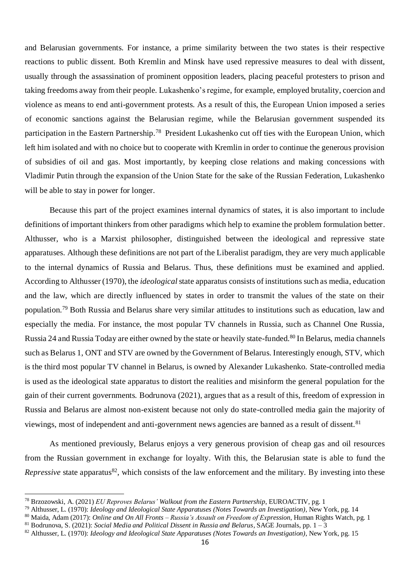and Belarusian governments. For instance, a prime similarity between the two states is their respective reactions to public dissent. Both Kremlin and Minsk have used repressive measures to deal with dissent, usually through the assassination of prominent opposition leaders, placing peaceful protesters to prison and taking freedoms away from their people. Lukashenko's regime, for example, employed brutality, coercion and violence as means to end anti-government protests. As a result of this, the European Union imposed a series of economic sanctions against the Belarusian regime, while the Belarusian government suspended its participation in the Eastern Partnership.<sup>78</sup> President Lukashenko cut off ties with the European Union, which left him isolated and with no choice but to cooperate with Kremlin in order to continue the generous provision of subsidies of oil and gas. Most importantly, by keeping close relations and making concessions with Vladimir Putin through the expansion of the Union State for the sake of the Russian Federation, Lukashenko will be able to stay in power for longer.

Because this part of the project examines internal dynamics of states, it is also important to include definitions of important thinkers from other paradigms which help to examine the problem formulation better. Althusser, who is a Marxist philosopher, distinguished between the ideological and repressive state apparatuses. Although these definitions are not part of the Liberalist paradigm, they are very much applicable to the internal dynamics of Russia and Belarus. Thus, these definitions must be examined and applied. According to Althusser (1970), the *ideological*state apparatus consists of institutions such as media, education and the law, which are directly influenced by states in order to transmit the values of the state on their population.<sup>79</sup> Both Russia and Belarus share very similar attitudes to institutions such as education, law and especially the media. For instance, the most popular TV channels in Russia, such as Channel One Russia, Russia 24 and Russia Today are either owned by the state or heavily state-funded.<sup>80</sup> In Belarus, media channels such as Belarus 1, ONT and STV are owned by the Government of Belarus. Interestingly enough, STV, which is the third most popular TV channel in Belarus, is owned by Alexander Lukashenko. State-controlled media is used as the ideological state apparatus to distort the realities and misinform the general population for the gain of their current governments. Bodrunova (2021), argues that as a result of this, freedom of expression in Russia and Belarus are almost non-existent because not only do state-controlled media gain the majority of viewings, most of independent and anti-government news agencies are banned as a result of dissent.<sup>81</sup>

As mentioned previously, Belarus enjoys a very generous provision of cheap gas and oil resources from the Russian government in exchange for loyalty. With this, the Belarusian state is able to fund the *Repressive* state apparatus<sup>82</sup>, which consists of the law enforcement and the military. By investing into these

1

<sup>80</sup> Maida, Adam (2017): *Online and On All Fronts – Russia's Assault on Freedom of Expression*, Human Rights Watch, pg. 1

<sup>78</sup> Brzozowski, A. (2021) *EU Reproves Belarus' Walkout from the Eastern Partnership*, EUROACTIV*,* pg. 1

<sup>79</sup> Althusser, L. (1970): *Ideology and Ideological State Apparatuses (Notes Towards an Investigation)*, New York, pg. 14

<sup>81</sup> Bodrunova, S. (2021): *Social Media and Political Dissent in Russia and Belarus*, SAGE Journals, pp. 1 – 3

<sup>82</sup> Althusser, L. (1970): *Ideology and Ideological State Apparatuses (Notes Towards an Investigation)*, New York, pg. 15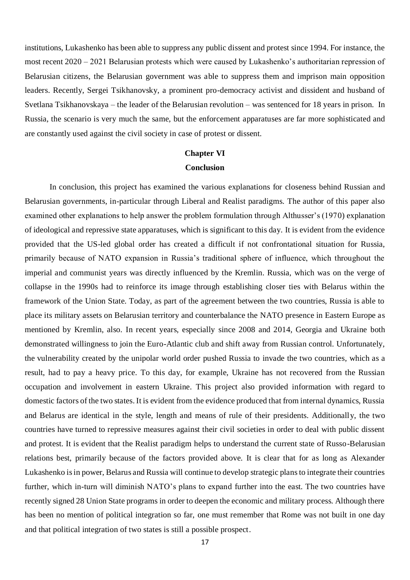institutions, Lukashenko has been able to suppress any public dissent and protest since 1994. For instance, the most recent 2020 – 2021 Belarusian protests which were caused by Lukashenko's authoritarian repression of Belarusian citizens, the Belarusian government was able to suppress them and imprison main opposition leaders. Recently, Sergei Tsikhanovsky, a prominent pro-democracy activist and dissident and husband of Svetlana Tsikhanovskaya – the leader of the Belarusian revolution – was sentenced for 18 years in prison. In Russia, the scenario is very much the same, but the enforcement apparatuses are far more sophisticated and are constantly used against the civil society in case of protest or dissent.

## **Chapter VI Conclusion**

In conclusion, this project has examined the various explanations for closeness behind Russian and Belarusian governments, in-particular through Liberal and Realist paradigms. The author of this paper also examined other explanations to help answer the problem formulation through Althusser's (1970) explanation of ideological and repressive state apparatuses, which is significant to this day. It is evident from the evidence provided that the US-led global order has created a difficult if not confrontational situation for Russia, primarily because of NATO expansion in Russia's traditional sphere of influence, which throughout the imperial and communist years was directly influenced by the Kremlin. Russia, which was on the verge of collapse in the 1990s had to reinforce its image through establishing closer ties with Belarus within the framework of the Union State. Today, as part of the agreement between the two countries, Russia is able to place its military assets on Belarusian territory and counterbalance the NATO presence in Eastern Europe as mentioned by Kremlin, also. In recent years, especially since 2008 and 2014, Georgia and Ukraine both demonstrated willingness to join the Euro-Atlantic club and shift away from Russian control. Unfortunately, the vulnerability created by the unipolar world order pushed Russia to invade the two countries, which as a result, had to pay a heavy price. To this day, for example, Ukraine has not recovered from the Russian occupation and involvement in eastern Ukraine. This project also provided information with regard to domestic factors of the two states. It is evident from the evidence produced that from internal dynamics, Russia and Belarus are identical in the style, length and means of rule of their presidents. Additionally, the two countries have turned to repressive measures against their civil societies in order to deal with public dissent and protest. It is evident that the Realist paradigm helps to understand the current state of Russo-Belarusian relations best, primarily because of the factors provided above. It is clear that for as long as Alexander Lukashenko is in power, Belarus and Russia will continue to develop strategic plans to integrate their countries further, which in-turn will diminish NATO's plans to expand further into the east. The two countries have recently signed 28 Union State programs in order to deepen the economic and military process. Although there has been no mention of political integration so far, one must remember that Rome was not built in one day and that political integration of two states is still a possible prospect.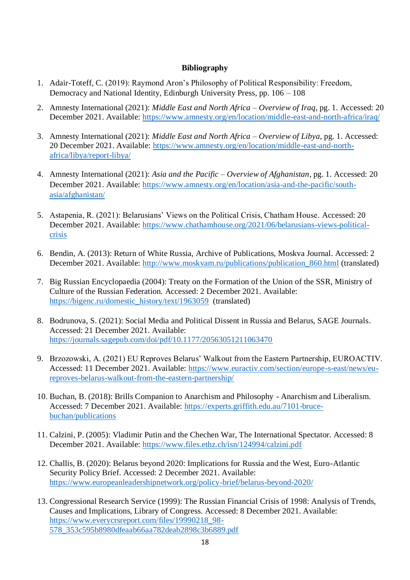## **Bibliography**

- 1. Adair-Toteff, C. (2019): Raymond Aron's Philosophy of Political Responsibility: Freedom, Democracy and National Identity, Edinburgh University Press, pp. 106 – 108
- 2. Amnesty International (2021): *Middle East and North Africa – Overview of Iraq*, pg. 1. Accessed: 20 December 2021. Available:<https://www.amnesty.org/en/location/middle-east-and-north-africa/iraq/>
- 3. Amnesty International (2021): *Middle East and North Africa – Overview of Libya,* pg. 1. Accessed: 20 December 2021. Available: [https://www.amnesty.org/en/location/middle-east-and-north](https://www.amnesty.org/en/location/middle-east-and-north-africa/libya/report-libya/)[africa/libya/report-libya/](https://www.amnesty.org/en/location/middle-east-and-north-africa/libya/report-libya/)
- 4. Amnesty International (2021): *Asia and the Pacific – Overview of Afghanistan*, pg. 1. Accessed: 20 December 2021. Available: [https://www.amnesty.org/en/location/asia-and-the-pacific/south](https://www.amnesty.org/en/location/asia-and-the-pacific/south-asia/afghanistan/)[asia/afghanistan/](https://www.amnesty.org/en/location/asia-and-the-pacific/south-asia/afghanistan/)
- 5. Astapenia, R. (2021): Belarusians' Views on the Political Crisis, Chatham House. Accessed: 20 December 2021. Available: [https://www.chathamhouse.org/2021/06/belarusians-views-political](https://www.chathamhouse.org/2021/06/belarusians-views-political-crisis)[crisis](https://www.chathamhouse.org/2021/06/belarusians-views-political-crisis)
- 6. Bendin, A. (2013): Return of White Russia, Archive of Publications, Moskva Journal. Accessed: 2 December 2021. Available: [http://www.moskvam.ru/publications/publication\\_860.html](http://www.moskvam.ru/publications/publication_860.html) (translated)
- 7. Big Russian Encyclopaedia (2004): Treaty on the Formation of the Union of the SSR, Ministry of Culture of the Russian Federation. Accessed: 2 December 2021. Available: [https://bigenc.ru/domestic\\_history/text/1963059](https://bigenc.ru/domestic_history/text/1963059) (translated)
- 8. Bodrunova, S. (2021): Social Media and Political Dissent in Russia and Belarus, SAGE Journals. Accessed: 21 December 2021. Available: <https://journals.sagepub.com/doi/pdf/10.1177/20563051211063470>
- 9. Brzozowski, A. (2021) EU Reproves Belarus' Walkout from the Eastern Partnership, EUROACTIV. Accessed: 11 December 2021. Available: [https://www.euractiv.com/section/europe-s-east/news/eu](https://www.euractiv.com/section/europe-s-east/news/eu-reproves-belarus-walkout-from-the-eastern-partnership/)[reproves-belarus-walkout-from-the-eastern-partnership/](https://www.euractiv.com/section/europe-s-east/news/eu-reproves-belarus-walkout-from-the-eastern-partnership/)
- 10. Buchan, B. (2018): Brills Companion to Anarchism and Philosophy Anarchism and Liberalism. Accessed: 7 December 2021. Available: [https://experts.griffith.edu.au/7101-bruce](https://experts.griffith.edu.au/7101-bruce-buchan/publications)[buchan/publications](https://experts.griffith.edu.au/7101-bruce-buchan/publications)
- 11. Calzini, P. (2005): Vladimir Putin and the Chechen War, The International Spectator. Accessed: 8 December 2021. Available:<https://www.files.ethz.ch/isn/124994/calzini.pdf>
- 12. Challis, B. (2020): Belarus beyond 2020: Implications for Russia and the West, Euro-Atlantic Security Policy Brief. Accessed: 2 December 2021. Available: <https://www.europeanleadershipnetwork.org/policy-brief/belarus-beyond-2020/>
- 13. Congressional Research Service (1999): The Russian Financial Crisis of 1998: Analysis of Trends, Causes and Implications, Library of Congress. Accessed: 8 December 2021. Available: [https://www.everycrsreport.com/files/19990218\\_98-](https://www.everycrsreport.com/files/19990218_98-578_353c595b8980dfeaab66aa782deab2898c3b6889.pdf) [578\\_353c595b8980dfeaab66aa782deab2898c3b6889.pdf](https://www.everycrsreport.com/files/19990218_98-578_353c595b8980dfeaab66aa782deab2898c3b6889.pdf)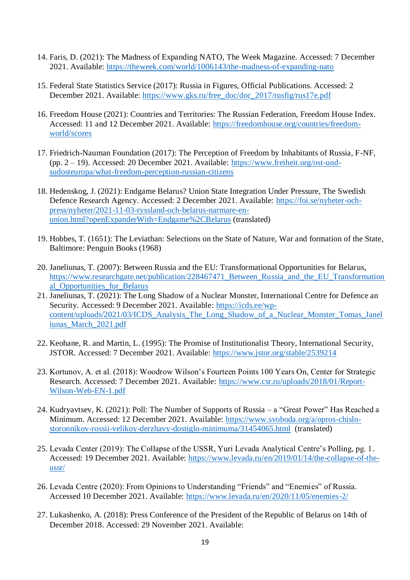- 14. Faris, D. (2021): The Madness of Expanding NATO, The Week Magazine. Accessed: 7 December 2021. Available:<https://theweek.com/world/1006143/the-madness-of-expanding-nato>
- 15. Federal State Statistics Service (2017): Russia in Figures, Official Publications. Accessed: 2 December 2021. Available: [https://www.gks.ru/free\\_doc/doc\\_2017/rusfig/rus17e.pdf](https://www.gks.ru/free_doc/doc_2017/rusfig/rus17e.pdf)
- 16. Freedom House (2021): Countries and Territories: The Russian Federation, Freedom House Index. Accessed: 11 and 12 December 2021. Available: [https://freedomhouse.org/countries/freedom](https://freedomhouse.org/countries/freedom-world/scores)[world/scores](https://freedomhouse.org/countries/freedom-world/scores)
- 17. Friedrich-Nauman Foundation (2017): The Perception of Freedom by Inhabitants of Russia, F-NF, (pp. 2 – 19). Accessed: 20 December 2021. Available: [https://www.freiheit.org/ost-und](https://www.freiheit.org/ost-und-sudosteuropa/what-freedom-perception-russian-citizens)[sudosteuropa/what-freedom-perception-russian-citizens](https://www.freiheit.org/ost-und-sudosteuropa/what-freedom-perception-russian-citizens)
- 18. Hedenskog, J. (2021): Endgame Belarus? Union State Integration Under Pressure, The Swedish Defence Research Agency. Accessed: 2 December 2021. Available: [https://foi.se/nyheter-och](https://foi.se/nyheter-och-press/nyheter/2021-11-03-ryssland-och-belarus-narmare-en-union.html?openExpanderWith=Endgame%2CBelarus)[press/nyheter/2021-11-03-ryssland-och-belarus-narmare-en](https://foi.se/nyheter-och-press/nyheter/2021-11-03-ryssland-och-belarus-narmare-en-union.html?openExpanderWith=Endgame%2CBelarus)[union.html?openExpanderWith=Endgame%2CBelarus](https://foi.se/nyheter-och-press/nyheter/2021-11-03-ryssland-och-belarus-narmare-en-union.html?openExpanderWith=Endgame%2CBelarus) (translated)
- 19. Hobbes, T. (1651): The Leviathan: Selections on the State of Nature, War and formation of the State, Baltimore: Penguin Books (1968)
- 20. Janeliunas, T. (2007): Between Russia and the EU: Transformational Opportunities for Belarus, [https://www.researchgate.net/publication/228467471\\_Between\\_Russia\\_and\\_the\\_EU\\_Transformation](https://www.researchgate.net/publication/228467471_Between_Russia_and_the_EU_Transformational_Opportunities_for_Belarus) [al\\_Opportunities\\_for\\_Belarus](https://www.researchgate.net/publication/228467471_Between_Russia_and_the_EU_Transformational_Opportunities_for_Belarus)
- 21. Janeliunas, T. (2021): The Long Shadow of a Nuclear Monster, International Centre for Defence an Security. Accessed: 9 December 2021. Available: [https://icds.ee/wp](https://icds.ee/wp-content/uploads/2021/03/ICDS_Analysis_The_Long_Shadow_of_a_Nuclear_Monster_Tomas_Janeliunas_March_2021.pdf)[content/uploads/2021/03/ICDS\\_Analysis\\_The\\_Long\\_Shadow\\_of\\_a\\_Nuclear\\_Monster\\_Tomas\\_Janel](https://icds.ee/wp-content/uploads/2021/03/ICDS_Analysis_The_Long_Shadow_of_a_Nuclear_Monster_Tomas_Janeliunas_March_2021.pdf) [iunas\\_March\\_2021.pdf](https://icds.ee/wp-content/uploads/2021/03/ICDS_Analysis_The_Long_Shadow_of_a_Nuclear_Monster_Tomas_Janeliunas_March_2021.pdf)
- 22. Keohane, R. and Martin, L. (1995): The Promise of Institutionalist Theory, International Security, JSTOR. Accessed: 7 December 2021. Available:<https://www.jstor.org/stable/2539214>
- 23. Kortunov, A. et al. (2018): Woodrow Wilson's Fourteen Points 100 Years On, Center for Strategic Research. Accessed: 7 December 2021. Available: [https://www.csr.ru/uploads/2018/01/Report-](https://www.csr.ru/uploads/2018/01/Report-Wilson-Web-EN-1.pdf)[Wilson-Web-EN-1.pdf](https://www.csr.ru/uploads/2018/01/Report-Wilson-Web-EN-1.pdf)
- 24. Kudryavtsev, K. (2021): Poll: The Number of Supports of Russia a "Great Power" Has Reached a Minimum. Accessed: 12 December 2021. Available: [https://www.svoboda.org/a/opros-chislo](https://www.svoboda.org/a/opros-chislo-storonnikov-rossii-velikoy-derzhavy-dostiglo-minimuma/31454065.html)[storonnikov-rossii-velikoy-derzhavy-dostiglo-minimuma/31454065.html](https://www.svoboda.org/a/opros-chislo-storonnikov-rossii-velikoy-derzhavy-dostiglo-minimuma/31454065.html) (translated)
- 25. Levada Center (2019): The Collapse of the USSR, Yuri Levada Analytical Centre's Polling, pg. 1. Accessed: 19 December 2021. Available: [https://www.levada.ru/en/2019/01/14/the-collapse-of-the](https://www.levada.ru/en/2019/01/14/the-collapse-of-the-ussr/)[ussr/](https://www.levada.ru/en/2019/01/14/the-collapse-of-the-ussr/)
- 26. Levada Centre (2020): From Opinions to Understanding "Friends" and "Enemies" of Russia. Accessed 10 December 2021. Available:<https://www.levada.ru/en/2020/11/05/enemies-2/>
- 27. Lukashenko, A. (2018): Press Conference of the President of the Republic of Belarus on 14th of December 2018. Accessed: 29 November 2021. Available: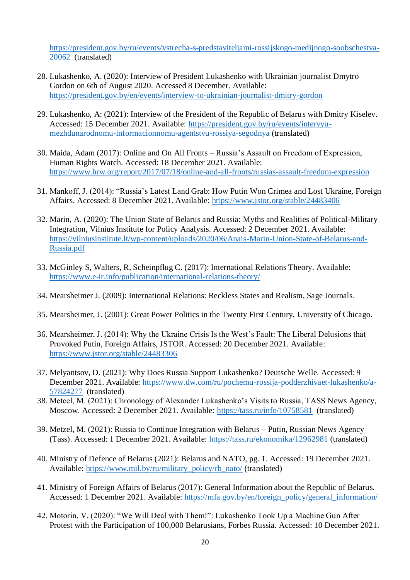[https://president.gov.by/ru/events/vstrecha-s-predstaviteljami-rossijskogo-medijnogo-soobschestva-](https://president.gov.by/ru/events/vstrecha-s-predstaviteljami-rossijskogo-medijnogo-soobschestva-20062)[20062](https://president.gov.by/ru/events/vstrecha-s-predstaviteljami-rossijskogo-medijnogo-soobschestva-20062) (translated)

- 28. Lukashenko, A. (2020): Interview of President Lukashenko with Ukrainian journalist Dmytro Gordon on 6th of August 2020. Accessed 8 December. Available: <https://president.gov.by/en/events/interview-to-ukrainian-journalist-dmitry-gordon>
- 29. Lukashenko, A: (2021): Interview of the President of the Republic of Belarus with Dmitry Kiselev. Accessed: 15 December 2021. Available: [https://president.gov.by/ru/events/intervyu](https://president.gov.by/ru/events/intervyu-mezhdunarodnomu-informacionnomu-agentstvu-rossiya-segodnya)[mezhdunarodnomu-informacionnomu-agentstvu-rossiya-segodnya](https://president.gov.by/ru/events/intervyu-mezhdunarodnomu-informacionnomu-agentstvu-rossiya-segodnya) (translated)
- 30. Maida, Adam (2017): Online and On All Fronts Russia's Assault on Freedom of Expression, Human Rights Watch. Accessed: 18 December 2021. Available: <https://www.hrw.org/report/2017/07/18/online-and-all-fronts/russias-assault-freedom-expression>
- 31. Mankoff, J. (2014): "Russia's Latest Land Grab: How Putin Won Crimea and Lost Ukraine, Foreign Affairs. Accessed: 8 December 2021. Available:<https://www.jstor.org/stable/24483406>
- 32. Marin, A. (2020): The Union State of Belarus and Russia: Myths and Realities of Political-Military Integration, Vilnius Institute for Policy Analysis. Accessed: 2 December 2021. Available: [https://vilniusinstitute.lt/wp-content/uploads/2020/06/Anais-Marin-Union-State-of-Belarus-and-](https://vilniusinstitute.lt/wp-content/uploads/2020/06/Anais-Marin-Union-State-of-Belarus-and-Russia.pdf)[Russia.pdf](https://vilniusinstitute.lt/wp-content/uploads/2020/06/Anais-Marin-Union-State-of-Belarus-and-Russia.pdf)
- 33. McGinley S, Walters, R, Scheinpflug C. (2017): International Relations Theory. Available: <https://www.e-ir.info/publication/international-relations-theory/>
- 34. Mearsheimer J. (2009): International Relations: Reckless States and Realism, Sage Journals.
- 35. Mearsheimer, J. (2001): Great Power Politics in the Twenty First Century, University of Chicago.
- 36. Mearsheimer, J. (2014): Why the Ukraine Crisis Is the West's Fault: The Liberal Delusions that Provoked Putin, Foreign Affairs, JSTOR. Accessed: 20 December 2021. Available: <https://www.jstor.org/stable/24483306>
- 37. Melyantsov, D. (2021): Why Does Russia Support Lukashenko? Deutsche Welle. Accessed: 9 December 2021. Available: [https://www.dw.com/ru/pochemu-rossija-podderzhivaet-lukashenko/a-](https://www.dw.com/ru/pochemu-rossija-podderzhivaet-lukashenko/a-57824277)[57824277](https://www.dw.com/ru/pochemu-rossija-podderzhivaet-lukashenko/a-57824277) (translated)
- 38. Metcel, M. (2021): Chronology of Alexander Lukashenko's Visits to Russia, TASS News Agency, Moscow. Accessed: 2 December 2021. Available:<https://tass.ru/info/10758581> (translated)
- 39. Metzel, M. (2021): Russia to Continue Integration with Belarus Putin, Russian News Agency (Tass). Accessed: 1 December 2021. Available:<https://tass.ru/ekonomika/12962981> (translated)
- 40. Ministry of Defence of Belarus (2021): Belarus and NATO, pg. 1. Accessed: 19 December 2021. Available: [https://www.mil.by/ru/military\\_policy/rb\\_nato/](https://www.mil.by/ru/military_policy/rb_nato/) (translated)
- 41. Ministry of Foreign Affairs of Belarus (2017): General Information about the Republic of Belarus. Accessed: 1 December 2021. Available: [https://mfa.gov.by/en/foreign\\_policy/general\\_information/](https://mfa.gov.by/en/foreign_policy/general_information/)
- 42. Motorin, V. (2020): "We Will Deal with Them!": Lukashenko Took Up a Machine Gun After Protest with the Participation of 100,000 Belarusians, Forbes Russia. Accessed: 10 December 2021.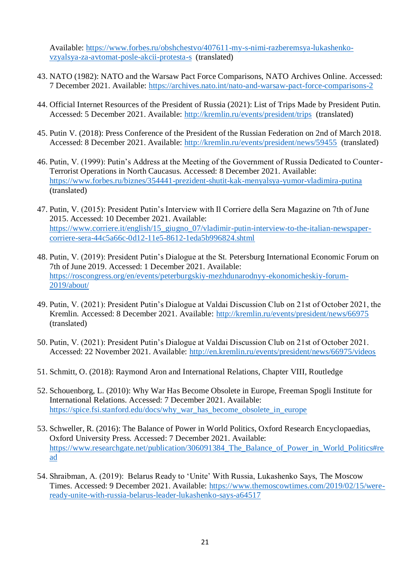Available: [https://www.forbes.ru/obshchestvo/407611-my-s-nimi-razberemsya-lukashenko](https://www.forbes.ru/obshchestvo/407611-my-s-nimi-razberemsya-lukashenko-vzyalsya-za-avtomat-posle-akcii-protesta-s)[vzyalsya-za-avtomat-posle-akcii-protesta-s](https://www.forbes.ru/obshchestvo/407611-my-s-nimi-razberemsya-lukashenko-vzyalsya-za-avtomat-posle-akcii-protesta-s) (translated)

- 43. NATO (1982): NATO and the Warsaw Pact Force Comparisons, NATO Archives Online. Accessed: 7 December 2021. Available:<https://archives.nato.int/nato-and-warsaw-pact-force-comparisons-2>
- 44. Official Internet Resources of the President of Russia (2021): List of Trips Made by President Putin. Accessed: 5 December 2021. Available:<http://kremlin.ru/events/president/trips> (translated)
- 45. Putin V. (2018): Press Conference of the President of the Russian Federation on 2nd of March 2018. Accessed: 8 December 2021. Available:<http://kremlin.ru/events/president/news/59455> (translated)
- 46. Putin, V. (1999): Putin's Address at the Meeting of the Government of Russia Dedicated to Counter-Terrorist Operations in North Caucasus. Accessed: 8 December 2021. Available: <https://www.forbes.ru/biznes/354441-prezident-shutit-kak-menyalsya-yumor-vladimira-putina> (translated)
- 47. Putin, V. (2015): President Putin's Interview with Il Corriere della Sera Magazine on 7th of June 2015. Accessed: 10 December 2021. Available: [https://www.corriere.it/english/15\\_giugno\\_07/vladimir-putin-interview-to-the-italian-newspaper](https://www.corriere.it/english/15_giugno_07/vladimir-putin-interview-to-the-italian-newspaper-corriere-sera-44c5a66c-0d12-11e5-8612-1eda5b996824.shtml)[corriere-sera-44c5a66c-0d12-11e5-8612-1eda5b996824.shtml](https://www.corriere.it/english/15_giugno_07/vladimir-putin-interview-to-the-italian-newspaper-corriere-sera-44c5a66c-0d12-11e5-8612-1eda5b996824.shtml)
- 48. Putin, V. (2019): President Putin's Dialogue at the St. Petersburg International Economic Forum on 7th of June 2019. Accessed: 1 December 2021. Available: [https://roscongress.org/en/events/peterburgskiy-mezhdunarodnyy-ekonomicheskiy-forum-](https://roscongress.org/en/events/peterburgskiy-mezhdunarodnyy-ekonomicheskiy-forum-2019/about/)[2019/about/](https://roscongress.org/en/events/peterburgskiy-mezhdunarodnyy-ekonomicheskiy-forum-2019/about/)
- 49. Putin, V. (2021): President Putin's Dialogue at Valdai Discussion Club on 21st of October 2021, the Kremlin. Accessed: 8 December 2021. Available:<http://kremlin.ru/events/president/news/66975> (translated)
- 50. Putin, V. (2021): President Putin's Dialogue at Valdai Discussion Club on 21st of October 2021. Accessed: 22 November 2021. Available:<http://en.kremlin.ru/events/president/news/66975/videos>
- 51. Schmitt, O. (2018): Raymond Aron and International Relations, Chapter VIII, Routledge
- 52. Schouenborg, L. (2010): Why War Has Become Obsolete in Europe, Freeman Spogli Institute for International Relations. Accessed: 7 December 2021. Available: [https://spice.fsi.stanford.edu/docs/why\\_war\\_has\\_become\\_obsolete\\_in\\_europe](https://spice.fsi.stanford.edu/docs/why_war_has_become_obsolete_in_europe)
- 53. Schweller, R. (2016): The Balance of Power in World Politics, Oxford Research Encyclopaedias, Oxford University Press. Accessed: 7 December 2021. Available: [https://www.researchgate.net/publication/306091384\\_The\\_Balance\\_of\\_Power\\_in\\_World\\_Politics#re](https://www.researchgate.net/publication/306091384_The_Balance_of_Power_in_World_Politics#read) [ad](https://www.researchgate.net/publication/306091384_The_Balance_of_Power_in_World_Politics#read)
- 54. Shraibman, A. (2019): Belarus Ready to 'Unite' With Russia, Lukashenko Says, The Moscow Times. Accessed: 9 December 2021. Available: [https://www.themoscowtimes.com/2019/02/15/were](https://www.themoscowtimes.com/2019/02/15/were-ready-unite-with-russia-belarus-leader-lukashenko-says-a64517)[ready-unite-with-russia-belarus-leader-lukashenko-says-a64517](https://www.themoscowtimes.com/2019/02/15/were-ready-unite-with-russia-belarus-leader-lukashenko-says-a64517)